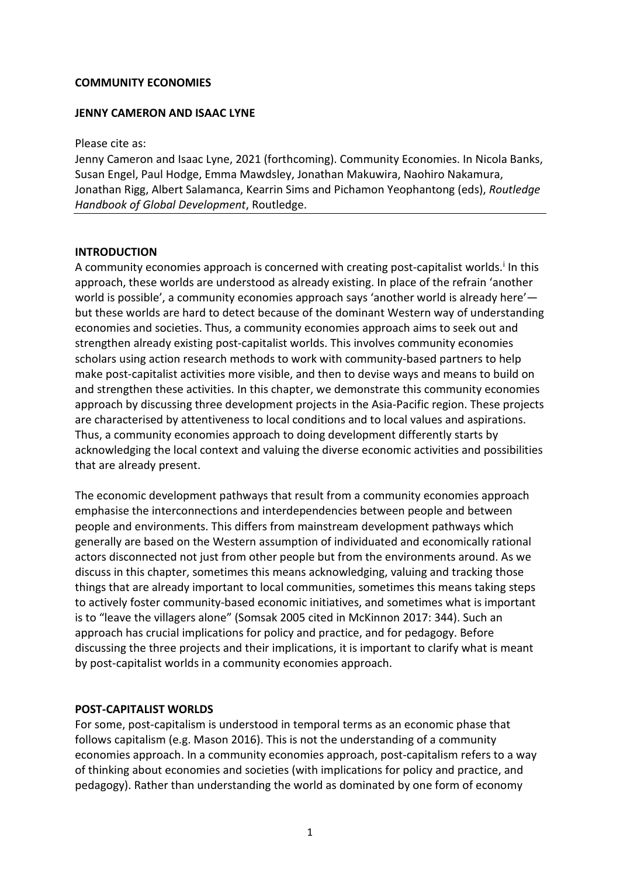#### **COMMUNITY ECONOMIES**

#### **JENNY CAMERON AND ISAAC LYNE**

Please cite as:

Jenny Cameron and Isaac Lyne, 2021 (forthcoming). Community Economies. In Nicola Banks, Susan Engel, Paul Hodge, Emma Mawdsley, Jonathan Makuwira, Naohiro Nakamura, Jonathan Rigg, Albert Salamanca, Kearrin Sims and Pichamon Yeophantong (eds), *Routledge Handbook of Global Development*, Routledge.

#### **INTRODUCTION**

A commun[i](#page-11-0)ty economies approach is concerned with creating post-capitalist worlds.<sup>i</sup> In this approach, these worlds are understood as already existing. In place of the refrain 'another world is possible', a community economies approach says 'another world is already here' but these worlds are hard to detect because of the dominant Western way of understanding economies and societies. Thus, a community economies approach aims to seek out and strengthen already existing post-capitalist worlds. This involves community economies scholars using action research methods to work with community-based partners to help make post-capitalist activities more visible, and then to devise ways and means to build on and strengthen these activities. In this chapter, we demonstrate this community economies approach by discussing three development projects in the Asia-Pacific region. These projects are characterised by attentiveness to local conditions and to local values and aspirations. Thus, a community economies approach to doing development differently starts by acknowledging the local context and valuing the diverse economic activities and possibilities that are already present.

The economic development pathways that result from a community economies approach emphasise the interconnections and interdependencies between people and between people and environments. This differs from mainstream development pathways which generally are based on the Western assumption of individuated and economically rational actors disconnected not just from other people but from the environments around. As we discuss in this chapter, sometimes this means acknowledging, valuing and tracking those things that are already important to local communities, sometimes this means taking steps to actively foster community-based economic initiatives, and sometimes what is important is to "leave the villagers alone" (Somsak 2005 cited in McKinnon 2017: 344). Such an approach has crucial implications for policy and practice, and for pedagogy. Before discussing the three projects and their implications, it is important to clarify what is meant by post-capitalist worlds in a community economies approach.

### **POST-CAPITALIST WORLDS**

For some, post-capitalism is understood in temporal terms as an economic phase that follows capitalism (e.g. Mason 2016). This is not the understanding of a community economies approach. In a community economies approach, post-capitalism refers to a way of thinking about economies and societies (with implications for policy and practice, and pedagogy). Rather than understanding the world as dominated by one form of economy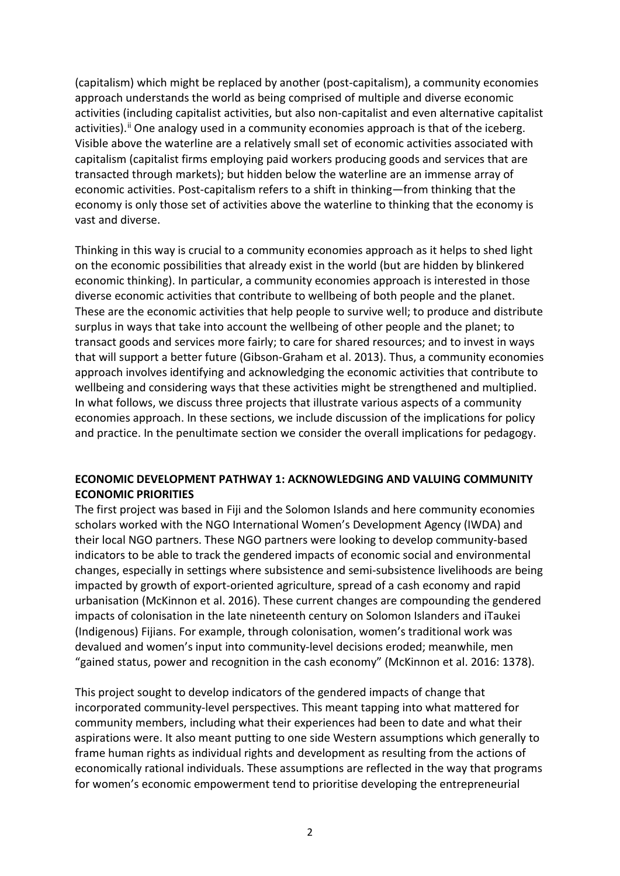(capitalism) which might be replaced by another (post-capitalism), a community economies approach understands the world as being comprised of multiple and diverse economic activities (including capitalist activities, but also non-capitalist and even alternative capitalist activities).  $\mathbf{ii}$  $\mathbf{ii}$  $\mathbf{ii}$  One analogy used in a community economies approach is that of the iceberg. Visible above the waterline are a relatively small set of economic activities associated with capitalism (capitalist firms employing paid workers producing goods and services that are transacted through markets); but hidden below the waterline are an immense array of economic activities. Post-capitalism refers to a shift in thinking—from thinking that the economy is only those set of activities above the waterline to thinking that the economy is vast and diverse.

Thinking in this way is crucial to a community economies approach as it helps to shed light on the economic possibilities that already exist in the world (but are hidden by blinkered economic thinking). In particular, a community economies approach is interested in those diverse economic activities that contribute to wellbeing of both people and the planet. These are the economic activities that help people to survive well; to produce and distribute surplus in ways that take into account the wellbeing of other people and the planet; to transact goods and services more fairly; to care for shared resources; and to invest in ways that will support a better future (Gibson-Graham et al. 2013). Thus, a community economies approach involves identifying and acknowledging the economic activities that contribute to wellbeing and considering ways that these activities might be strengthened and multiplied. In what follows, we discuss three projects that illustrate various aspects of a community economies approach. In these sections, we include discussion of the implications for policy and practice. In the penultimate section we consider the overall implications for pedagogy.

# **ECONOMIC DEVELOPMENT PATHWAY 1: ACKNOWLEDGING AND VALUING COMMUNITY ECONOMIC PRIORITIES**

The first project was based in Fiji and the Solomon Islands and here community economies scholars worked with the NGO International Women's Development Agency (IWDA) and their local NGO partners. These NGO partners were looking to develop community-based indicators to be able to track the gendered impacts of economic social and environmental changes, especially in settings where subsistence and semi-subsistence livelihoods are being impacted by growth of export-oriented agriculture, spread of a cash economy and rapid urbanisation (McKinnon et al. 2016). These current changes are compounding the gendered impacts of colonisation in the late nineteenth century on Solomon Islanders and iTaukei (Indigenous) Fijians. For example, through colonisation, women's traditional work was devalued and women's input into community-level decisions eroded; meanwhile, men "gained status, power and recognition in the cash economy" (McKinnon et al. 2016: 1378).

This project sought to develop indicators of the gendered impacts of change that incorporated community-level perspectives. This meant tapping into what mattered for community members, including what their experiences had been to date and what their aspirations were. It also meant putting to one side Western assumptions which generally to frame human rights as individual rights and development as resulting from the actions of economically rational individuals. These assumptions are reflected in the way that programs for women's economic empowerment tend to prioritise developing the entrepreneurial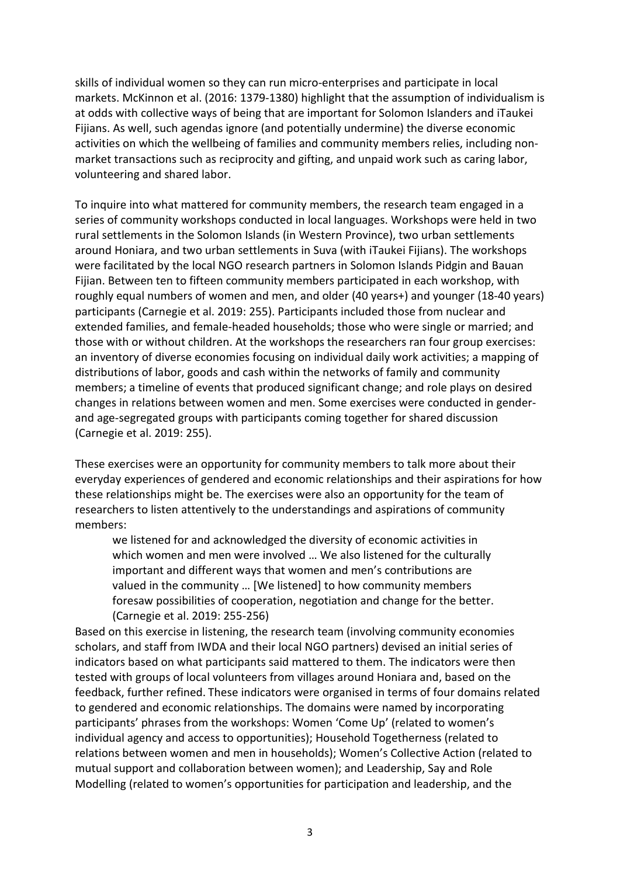skills of individual women so they can run micro-enterprises and participate in local markets. McKinnon et al. (2016: 1379-1380) highlight that the assumption of individualism is at odds with collective ways of being that are important for Solomon Islanders and iTaukei Fijians. As well, such agendas ignore (and potentially undermine) the diverse economic activities on which the wellbeing of families and community members relies, including nonmarket transactions such as reciprocity and gifting, and unpaid work such as caring labor, volunteering and shared labor.

To inquire into what mattered for community members, the research team engaged in a series of community workshops conducted in local languages. Workshops were held in two rural settlements in the Solomon Islands (in Western Province), two urban settlements around Honiara, and two urban settlements in Suva (with iTaukei Fijians). The workshops were facilitated by the local NGO research partners in Solomon Islands Pidgin and Bauan Fijian. Between ten to fifteen community members participated in each workshop, with roughly equal numbers of women and men, and older (40 years+) and younger (18-40 years) participants (Carnegie et al. 2019: 255). Participants included those from nuclear and extended families, and female-headed households; those who were single or married; and those with or without children. At the workshops the researchers ran four group exercises: an inventory of diverse economies focusing on individual daily work activities; a mapping of distributions of labor, goods and cash within the networks of family and community members; a timeline of events that produced significant change; and role plays on desired changes in relations between women and men. Some exercises were conducted in genderand age-segregated groups with participants coming together for shared discussion (Carnegie et al. 2019: 255).

These exercises were an opportunity for community members to talk more about their everyday experiences of gendered and economic relationships and their aspirations for how these relationships might be. The exercises were also an opportunity for the team of researchers to listen attentively to the understandings and aspirations of community members:

we listened for and acknowledged the diversity of economic activities in which women and men were involved … We also listened for the culturally important and different ways that women and men's contributions are valued in the community … [We listened] to how community members foresaw possibilities of cooperation, negotiation and change for the better. (Carnegie et al. 2019: 255-256)

Based on this exercise in listening, the research team (involving community economies scholars, and staff from IWDA and their local NGO partners) devised an initial series of indicators based on what participants said mattered to them. The indicators were then tested with groups of local volunteers from villages around Honiara and, based on the feedback, further refined. These indicators were organised in terms of four domains related to gendered and economic relationships. The domains were named by incorporating participants' phrases from the workshops: Women 'Come Up' (related to women's individual agency and access to opportunities); Household Togetherness (related to relations between women and men in households); Women's Collective Action (related to mutual support and collaboration between women); and Leadership, Say and Role Modelling (related to women's opportunities for participation and leadership, and the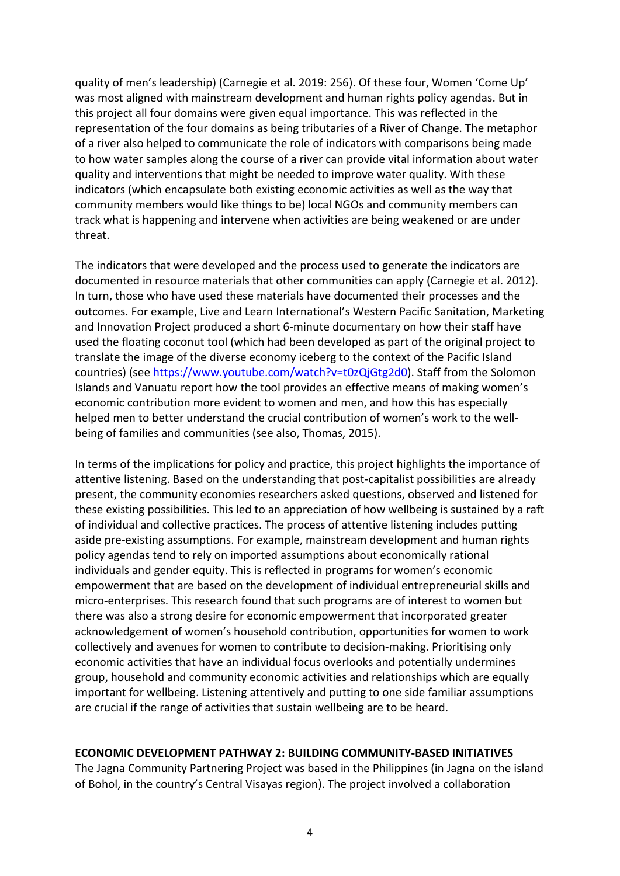quality of men's leadership) (Carnegie et al. 2019: 256). Of these four, Women 'Come Up' was most aligned with mainstream development and human rights policy agendas. But in this project all four domains were given equal importance. This was reflected in the representation of the four domains as being tributaries of a River of Change. The metaphor of a river also helped to communicate the role of indicators with comparisons being made to how water samples along the course of a river can provide vital information about water quality and interventions that might be needed to improve water quality. With these indicators (which encapsulate both existing economic activities as well as the way that community members would like things to be) local NGOs and community members can track what is happening and intervene when activities are being weakened or are under threat.

The indicators that were developed and the process used to generate the indicators are documented in resource materials that other communities can apply (Carnegie et al. 2012). In turn, those who have used these materials have documented their processes and the outcomes. For example, Live and Learn International's Western Pacific Sanitation, Marketing and Innovation Project produced a short 6-minute documentary on how their staff have used the floating coconut tool (which had been developed as part of the original project to translate the image of the diverse economy iceberg to the context of the Pacific Island countries) (see [https://www.youtube.com/watch?v=t0zQjGtg2d0\)](https://www.youtube.com/watch?v=t0zQjGtg2d0). Staff from the Solomon Islands and Vanuatu report how the tool provides an effective means of making women's economic contribution more evident to women and men, and how this has especially helped men to better understand the crucial contribution of women's work to the wellbeing of families and communities (see also, Thomas, 2015).

In terms of the implications for policy and practice, this project highlights the importance of attentive listening. Based on the understanding that post-capitalist possibilities are already present, the community economies researchers asked questions, observed and listened for these existing possibilities. This led to an appreciation of how wellbeing is sustained by a raft of individual and collective practices. The process of attentive listening includes putting aside pre-existing assumptions. For example, mainstream development and human rights policy agendas tend to rely on imported assumptions about economically rational individuals and gender equity. This is reflected in programs for women's economic empowerment that are based on the development of individual entrepreneurial skills and micro-enterprises. This research found that such programs are of interest to women but there was also a strong desire for economic empowerment that incorporated greater acknowledgement of women's household contribution, opportunities for women to work collectively and avenues for women to contribute to decision-making. Prioritising only economic activities that have an individual focus overlooks and potentially undermines group, household and community economic activities and relationships which are equally important for wellbeing. Listening attentively and putting to one side familiar assumptions are crucial if the range of activities that sustain wellbeing are to be heard.

### **ECONOMIC DEVELOPMENT PATHWAY 2: BUILDING COMMUNITY-BASED INITIATIVES**

The Jagna Community Partnering Project was based in the Philippines (in Jagna on the island of Bohol, in the country's Central Visayas region). The project involved a collaboration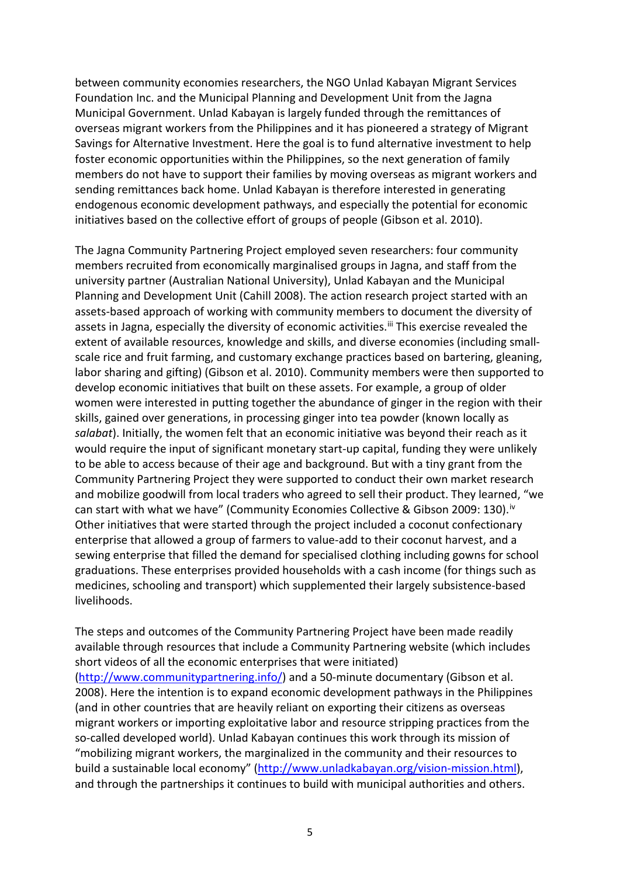between community economies researchers, the NGO Unlad Kabayan Migrant Services Foundation Inc. and the Municipal Planning and Development Unit from the Jagna Municipal Government. Unlad Kabayan is largely funded through the remittances of overseas migrant workers from the Philippines and it has pioneered a strategy of Migrant Savings for Alternative Investment. Here the goal is to fund alternative investment to help foster economic opportunities within the Philippines, so the next generation of family members do not have to support their families by moving overseas as migrant workers and sending remittances back home. Unlad Kabayan is therefore interested in generating endogenous economic development pathways, and especially the potential for economic initiatives based on the collective effort of groups of people (Gibson et al. 2010).

The Jagna Community Partnering Project employed seven researchers: four community members recruited from economically marginalised groups in Jagna, and staff from the university partner (Australian National University), Unlad Kabayan and the Municipal Planning and Development Unit (Cahill 2008). The action research project started with an assets-based approach of working with community members to document the diversity of assets in Jagna, especially the diversity of economic activities.<sup>[iii](#page-11-2)</sup> This exercise revealed the extent of available resources, knowledge and skills, and diverse economies (including smallscale rice and fruit farming, and customary exchange practices based on bartering, gleaning, labor sharing and gifting) (Gibson et al. 2010). Community members were then supported to develop economic initiatives that built on these assets. For example, a group of older women were interested in putting together the abundance of ginger in the region with their skills, gained over generations, in processing ginger into tea powder (known locally as *salabat*). Initially, the women felt that an economic initiative was beyond their reach as it would require the input of significant monetary start-up capital, funding they were unlikely to be able to access because of their age and background. But with a tiny grant from the Community Partnering Project they were supported to conduct their own market research and mobilize goodwill from local traders who agreed to sell their product. They learned, "we can start with what we have" (Community Economies Collect[iv](#page-11-3)e & Gibson 2009: 130).<sup>iv</sup> Other initiatives that were started through the project included a coconut confectionary enterprise that allowed a group of farmers to value-add to their coconut harvest, and a sewing enterprise that filled the demand for specialised clothing including gowns for school graduations. These enterprises provided households with a cash income (for things such as medicines, schooling and transport) which supplemented their largely subsistence-based livelihoods.

The steps and outcomes of the Community Partnering Project have been made readily available through resources that include a Community Partnering website (which includes short videos of all the economic enterprises that were initiated) [\(http://www.communitypartnering.info/\)](http://www.communitypartnering.info/) and a 50-minute documentary (Gibson et al. 2008). Here the intention is to expand economic development pathways in the Philippines (and in other countries that are heavily reliant on exporting their citizens as overseas migrant workers or importing exploitative labor and resource stripping practices from the so-called developed world). Unlad Kabayan continues this work through its mission of "mobilizing migrant workers, the marginalized in the community and their resources to build a sustainable local economy" [\(http://www.unladkabayan.org/vision-mission.html\)](http://www.unladkabayan.org/vision-mission.html), and through the partnerships it continues to build with municipal authorities and others.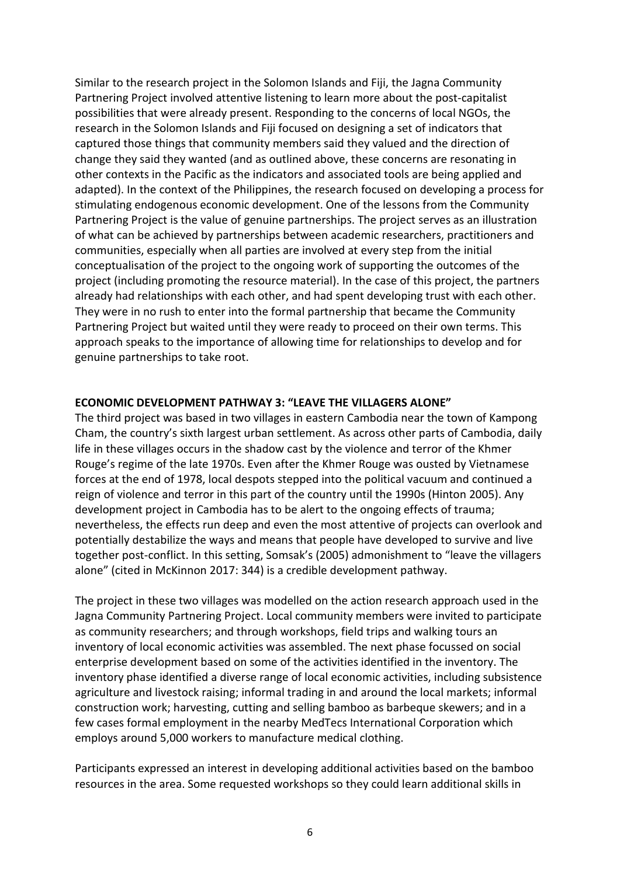Similar to the research project in the Solomon Islands and Fiji, the Jagna Community Partnering Project involved attentive listening to learn more about the post-capitalist possibilities that were already present. Responding to the concerns of local NGOs, the research in the Solomon Islands and Fiji focused on designing a set of indicators that captured those things that community members said they valued and the direction of change they said they wanted (and as outlined above, these concerns are resonating in other contexts in the Pacific as the indicators and associated tools are being applied and adapted). In the context of the Philippines, the research focused on developing a process for stimulating endogenous economic development. One of the lessons from the Community Partnering Project is the value of genuine partnerships. The project serves as an illustration of what can be achieved by partnerships between academic researchers, practitioners and communities, especially when all parties are involved at every step from the initial conceptualisation of the project to the ongoing work of supporting the outcomes of the project (including promoting the resource material). In the case of this project, the partners already had relationships with each other, and had spent developing trust with each other. They were in no rush to enter into the formal partnership that became the Community Partnering Project but waited until they were ready to proceed on their own terms. This approach speaks to the importance of allowing time for relationships to develop and for genuine partnerships to take root.

### **ECONOMIC DEVELOPMENT PATHWAY 3: "LEAVE THE VILLAGERS ALONE"**

The third project was based in two villages in eastern Cambodia near the town of Kampong Cham, the country's sixth largest urban settlement. As across other parts of Cambodia, daily life in these villages occurs in the shadow cast by the violence and terror of the Khmer Rouge's regime of the late 1970s. Even after the Khmer Rouge was ousted by Vietnamese forces at the end of 1978, local despots stepped into the political vacuum and continued a reign of violence and terror in this part of the country until the 1990s (Hinton 2005). Any development project in Cambodia has to be alert to the ongoing effects of trauma; nevertheless, the effects run deep and even the most attentive of projects can overlook and potentially destabilize the ways and means that people have developed to survive and live together post-conflict. In this setting, Somsak's (2005) admonishment to "leave the villagers alone" (cited in McKinnon 2017: 344) is a credible development pathway.

The project in these two villages was modelled on the action research approach used in the Jagna Community Partnering Project. Local community members were invited to participate as community researchers; and through workshops, field trips and walking tours an inventory of local economic activities was assembled. The next phase focussed on social enterprise development based on some of the activities identified in the inventory. The inventory phase identified a diverse range of local economic activities, including subsistence agriculture and livestock raising; informal trading in and around the local markets; informal construction work; harvesting, cutting and selling bamboo as barbeque skewers; and in a few cases formal employment in the nearby MedTecs International Corporation which employs around 5,000 workers to manufacture medical clothing.

Participants expressed an interest in developing additional activities based on the bamboo resources in the area. Some requested workshops so they could learn additional skills in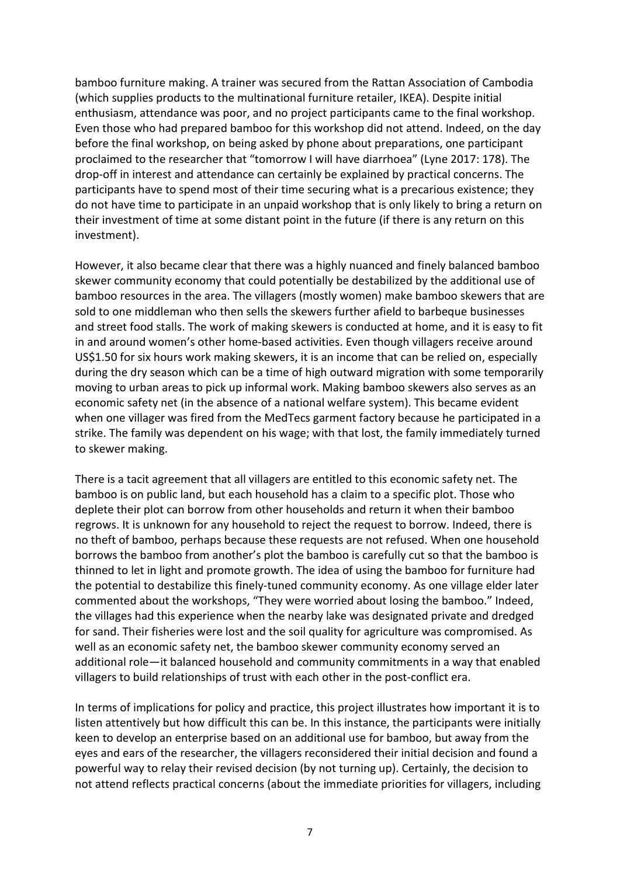bamboo furniture making. A trainer was secured from the Rattan Association of Cambodia (which supplies products to the multinational furniture retailer, IKEA). Despite initial enthusiasm, attendance was poor, and no project participants came to the final workshop. Even those who had prepared bamboo for this workshop did not attend. Indeed, on the day before the final workshop, on being asked by phone about preparations, one participant proclaimed to the researcher that "tomorrow I will have diarrhoea" (Lyne 2017: 178). The drop-off in interest and attendance can certainly be explained by practical concerns. The participants have to spend most of their time securing what is a precarious existence; they do not have time to participate in an unpaid workshop that is only likely to bring a return on their investment of time at some distant point in the future (if there is any return on this investment).

However, it also became clear that there was a highly nuanced and finely balanced bamboo skewer community economy that could potentially be destabilized by the additional use of bamboo resources in the area. The villagers (mostly women) make bamboo skewers that are sold to one middleman who then sells the skewers further afield to barbeque businesses and street food stalls. The work of making skewers is conducted at home, and it is easy to fit in and around women's other home-based activities. Even though villagers receive around US\$1.50 for six hours work making skewers, it is an income that can be relied on, especially during the dry season which can be a time of high outward migration with some temporarily moving to urban areas to pick up informal work. Making bamboo skewers also serves as an economic safety net (in the absence of a national welfare system). This became evident when one villager was fired from the MedTecs garment factory because he participated in a strike. The family was dependent on his wage; with that lost, the family immediately turned to skewer making.

There is a tacit agreement that all villagers are entitled to this economic safety net. The bamboo is on public land, but each household has a claim to a specific plot. Those who deplete their plot can borrow from other households and return it when their bamboo regrows. It is unknown for any household to reject the request to borrow. Indeed, there is no theft of bamboo, perhaps because these requests are not refused. When one household borrows the bamboo from another's plot the bamboo is carefully cut so that the bamboo is thinned to let in light and promote growth. The idea of using the bamboo for furniture had the potential to destabilize this finely-tuned community economy. As one village elder later commented about the workshops, "They were worried about losing the bamboo." Indeed, the villages had this experience when the nearby lake was designated private and dredged for sand. Their fisheries were lost and the soil quality for agriculture was compromised. As well as an economic safety net, the bamboo skewer community economy served an additional role—it balanced household and community commitments in a way that enabled villagers to build relationships of trust with each other in the post-conflict era.

In terms of implications for policy and practice, this project illustrates how important it is to listen attentively but how difficult this can be. In this instance, the participants were initially keen to develop an enterprise based on an additional use for bamboo, but away from the eyes and ears of the researcher, the villagers reconsidered their initial decision and found a powerful way to relay their revised decision (by not turning up). Certainly, the decision to not attend reflects practical concerns (about the immediate priorities for villagers, including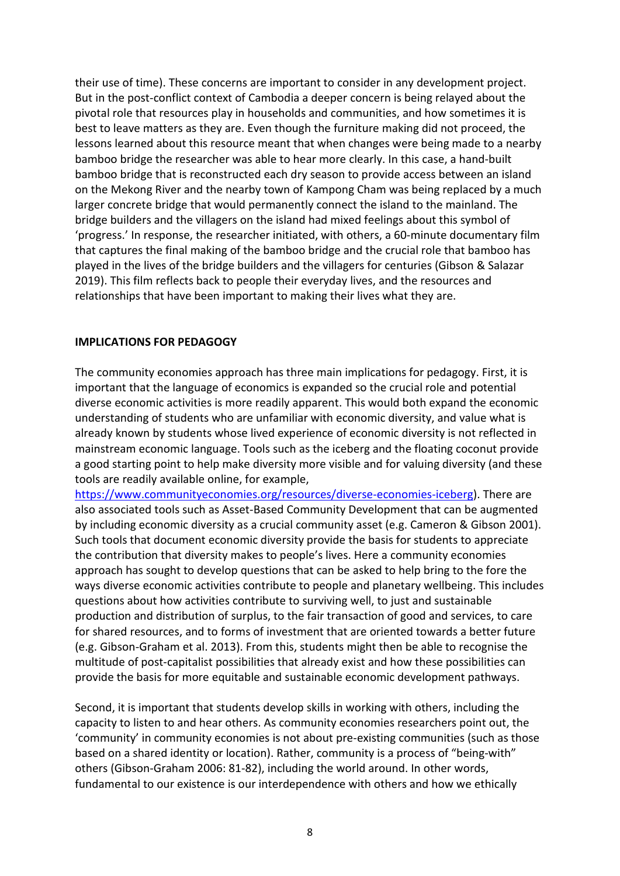their use of time). These concerns are important to consider in any development project. But in the post-conflict context of Cambodia a deeper concern is being relayed about the pivotal role that resources play in households and communities, and how sometimes it is best to leave matters as they are. Even though the furniture making did not proceed, the lessons learned about this resource meant that when changes were being made to a nearby bamboo bridge the researcher was able to hear more clearly. In this case, a hand-built bamboo bridge that is reconstructed each dry season to provide access between an island on the Mekong River and the nearby town of Kampong Cham was being replaced by a much larger concrete bridge that would permanently connect the island to the mainland. The bridge builders and the villagers on the island had mixed feelings about this symbol of 'progress.' In response, the researcher initiated, with others, a 60-minute documentary film that captures the final making of the bamboo bridge and the crucial role that bamboo has played in the lives of the bridge builders and the villagers for centuries (Gibson & Salazar 2019). This film reflects back to people their everyday lives, and the resources and relationships that have been important to making their lives what they are.

### **IMPLICATIONS FOR PEDAGOGY**

The community economies approach has three main implications for pedagogy. First, it is important that the language of economics is expanded so the crucial role and potential diverse economic activities is more readily apparent. This would both expand the economic understanding of students who are unfamiliar with economic diversity, and value what is already known by students whose lived experience of economic diversity is not reflected in mainstream economic language. Tools such as the iceberg and the floating coconut provide a good starting point to help make diversity more visible and for valuing diversity (and these tools are readily available online, for example,

[https://www.communityeconomies.org/resources/diverse-economies-iceberg\)](https://www.communityeconomies.org/resources/diverse-economies-iceberg). There are also associated tools such as Asset-Based Community Development that can be augmented by including economic diversity as a crucial community asset (e.g. Cameron & Gibson 2001). Such tools that document economic diversity provide the basis for students to appreciate the contribution that diversity makes to people's lives. Here a community economies approach has sought to develop questions that can be asked to help bring to the fore the ways diverse economic activities contribute to people and planetary wellbeing. This includes questions about how activities contribute to surviving well, to just and sustainable production and distribution of surplus, to the fair transaction of good and services, to care for shared resources, and to forms of investment that are oriented towards a better future (e.g. Gibson-Graham et al. 2013). From this, students might then be able to recognise the multitude of post-capitalist possibilities that already exist and how these possibilities can provide the basis for more equitable and sustainable economic development pathways.

Second, it is important that students develop skills in working with others, including the capacity to listen to and hear others. As community economies researchers point out, the 'community' in community economies is not about pre-existing communities (such as those based on a shared identity or location). Rather, community is a process of "being-with" others (Gibson-Graham 2006: 81-82), including the world around. In other words, fundamental to our existence is our interdependence with others and how we ethically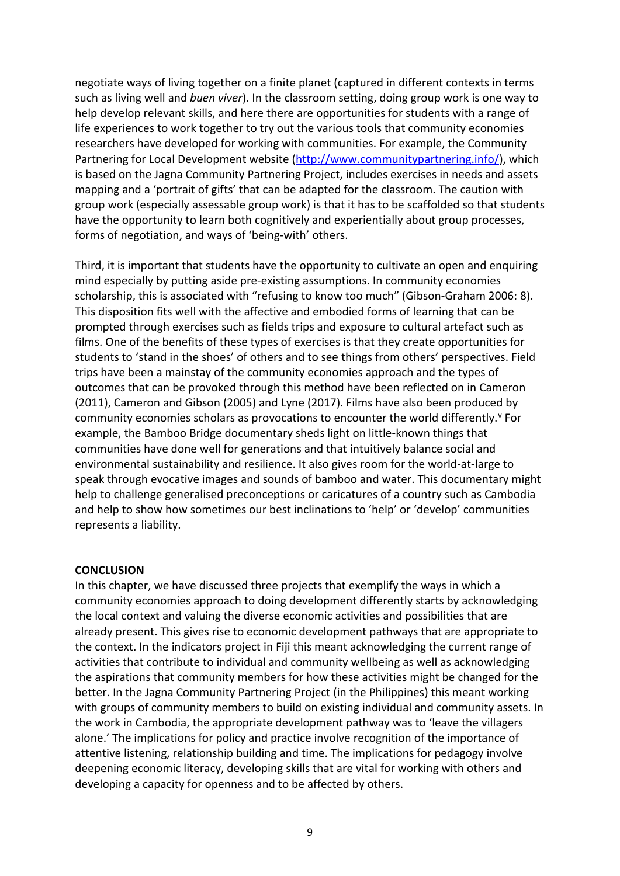negotiate ways of living together on a finite planet (captured in different contexts in terms such as living well and *buen viver*). In the classroom setting, doing group work is one way to help develop relevant skills, and here there are opportunities for students with a range of life experiences to work together to try out the various tools that community economies researchers have developed for working with communities. For example, the Community Partnering for Local Development website [\(http://www.communitypartnering.info/\)](http://www.communitypartnering.info/), which is based on the Jagna Community Partnering Project, includes exercises in needs and assets mapping and a 'portrait of gifts' that can be adapted for the classroom. The caution with group work (especially assessable group work) is that it has to be scaffolded so that students have the opportunity to learn both cognitively and experientially about group processes, forms of negotiation, and ways of 'being-with' others.

Third, it is important that students have the opportunity to cultivate an open and enquiring mind especially by putting aside pre-existing assumptions. In community economies scholarship, this is associated with "refusing to know too much" (Gibson-Graham 2006: 8). This disposition fits well with the affective and embodied forms of learning that can be prompted through exercises such as fields trips and exposure to cultural artefact such as films. One of the benefits of these types of exercises is that they create opportunities for students to 'stand in the shoes' of others and to see things from others' perspectives. Field trips have been a mainstay of the community economies approach and the types of outcomes that can be provoked through this method have been reflected on in Cameron (2011), Cameron and Gibson (2005) and Lyne (2017). Films have also been produced by community economies scholars as pro[v](#page-11-4)ocations to encounter the world differently.<sup>v</sup> For example, the Bamboo Bridge documentary sheds light on little-known things that communities have done well for generations and that intuitively balance social and environmental sustainability and resilience. It also gives room for the world-at-large to speak through evocative images and sounds of bamboo and water. This documentary might help to challenge generalised preconceptions or caricatures of a country such as Cambodia and help to show how sometimes our best inclinations to 'help' or 'develop' communities represents a liability.

### **CONCLUSION**

In this chapter, we have discussed three projects that exemplify the ways in which a community economies approach to doing development differently starts by acknowledging the local context and valuing the diverse economic activities and possibilities that are already present. This gives rise to economic development pathways that are appropriate to the context. In the indicators project in Fiji this meant acknowledging the current range of activities that contribute to individual and community wellbeing as well as acknowledging the aspirations that community members for how these activities might be changed for the better. In the Jagna Community Partnering Project (in the Philippines) this meant working with groups of community members to build on existing individual and community assets. In the work in Cambodia, the appropriate development pathway was to 'leave the villagers alone.' The implications for policy and practice involve recognition of the importance of attentive listening, relationship building and time. The implications for pedagogy involve deepening economic literacy, developing skills that are vital for working with others and developing a capacity for openness and to be affected by others.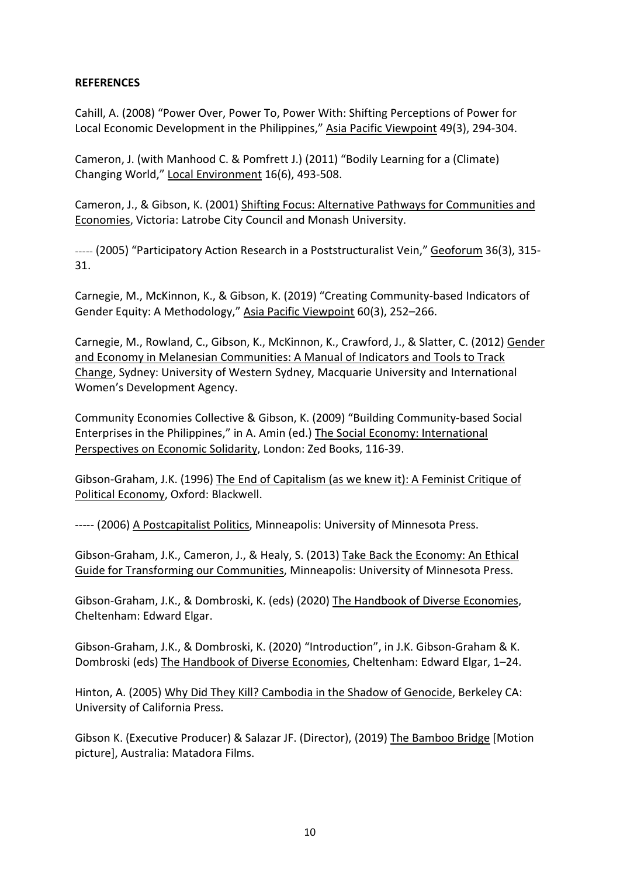## **REFERENCES**

Cahill, A. (2008) "Power Over, Power To, Power With: Shifting Perceptions of Power for Local Economic Development in the Philippines," Asia Pacific Viewpoint 49(3), 294-304.

Cameron, J. (with Manhood C. & Pomfrett J.) (2011) "Bodily Learning for a (Climate) Changing World," Local Environment 16(6), 493-508.

Cameron, J., & Gibson, K. (2001) Shifting Focus: Alternative Pathways for Communities and Economies, Victoria: Latrobe City Council and Monash University.

----- (2005) "Participatory Action Research in a Poststructuralist Vein," Geoforum 36(3), 315- 31.

Carnegie, M., McKinnon, K., & Gibson, K. (2019) "Creating Community-based Indicators of Gender Equity: A Methodology," Asia Pacific Viewpoint 60(3), 252–266.

Carnegie, M., Rowland, C., Gibson, K., McKinnon, K., Crawford, J., & Slatter, C. (2012) Gender and Economy in Melanesian Communities: A Manual of Indicators and Tools to Track Change, Sydney: University of Western Sydney, Macquarie University and International Women's Development Agency.

Community Economies Collective & Gibson, K. (2009) "Building Community-based Social Enterprises in the Philippines," in A. Amin (ed.) The Social Economy: International Perspectives on Economic Solidarity, London: Zed Books, 116-39.

Gibson-Graham, J.K. (1996) The End of Capitalism (as we knew it): A Feminist Critique of Political Economy, Oxford: Blackwell.

----- (2006) A Postcapitalist Politics, Minneapolis: University of Minnesota Press.

Gibson-Graham, J.K., Cameron, J., & Healy, S. (2013) Take Back the Economy: An Ethical Guide for Transforming our Communities, Minneapolis: University of Minnesota Press.

Gibson-Graham, J.K., & Dombroski, K. (eds) (2020) The Handbook of Diverse Economies, Cheltenham: Edward Elgar.

Gibson-Graham, J.K., & Dombroski, K. (2020) "Introduction", in J.K. Gibson-Graham & K. Dombroski (eds) The Handbook of Diverse Economies, Cheltenham: Edward Elgar, 1–24.

Hinton, A. (2005) Why Did They Kill? Cambodia in the Shadow of Genocide, Berkeley CA: University of California Press.

Gibson K. (Executive Producer) & Salazar JF. (Director), (2019) The Bamboo Bridge [Motion picture], Australia: Matadora Films.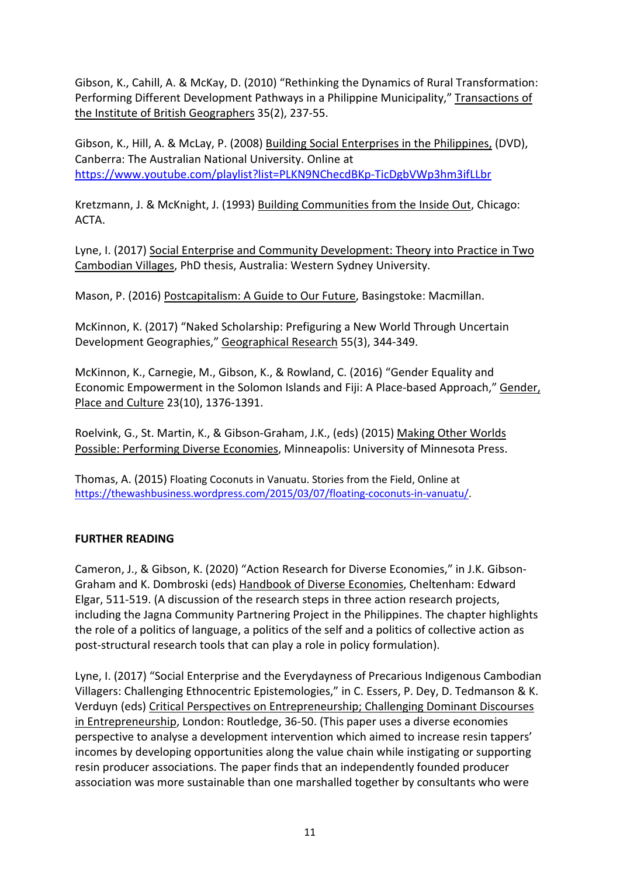Gibson, K., Cahill, A. & McKay, D. (2010) "Rethinking the Dynamics of Rural Transformation: Performing Different Development Pathways in a Philippine Municipality," Transactions of the Institute of British Geographers 35(2), 237-55.

Gibson, K., Hill, A. & McLay, P. (2008) Building Social Enterprises in the Philippines, (DVD), Canberra: The Australian National University. Online at <https://www.youtube.com/playlist?list=PLKN9NChecdBKp-TicDgbVWp3hm3ifLLbr>

Kretzmann, J. & McKnight, J. (1993) Building Communities from the Inside Out, Chicago: ACTA.

Lyne, I. (2017) Social Enterprise and Community Development: Theory into Practice in Two Cambodian Villages, PhD thesis, Australia: Western Sydney University.

Mason, P. (2016) Postcapitalism: A Guide to Our Future, Basingstoke: Macmillan.

McKinnon, K. (2017) "Naked Scholarship: Prefiguring a New World Through Uncertain Development Geographies," Geographical Research 55(3), 344-349.

McKinnon, K., Carnegie, M., Gibson, K., & Rowland, C. (2016) "Gender Equality and Economic Empowerment in the Solomon Islands and Fiji: A Place-based Approach," Gender, Place and Culture 23(10), 1376-1391.

Roelvink, G., St. Martin, K., & Gibson-Graham, J.K., (eds) (2015) Making Other Worlds Possible: Performing Diverse Economies, Minneapolis: University of Minnesota Press.

Thomas, A. (2015) Floating Coconuts in Vanuatu. Stories from the Field, Online at [https://thewashbusiness.wordpress.com/2015/03/07/floating-coconuts-in-vanuatu/.](https://thewashbusiness.wordpress.com/2015/03/07/floating-coconuts-in-vanuatu/)

# **FURTHER READING**

Cameron, J., & Gibson, K. (2020) "Action Research for Diverse Economies," in J.K. Gibson-Graham and K. Dombroski (eds) Handbook of Diverse Economies, Cheltenham: Edward Elgar, 511-519. (A discussion of the research steps in three action research projects, including the Jagna Community Partnering Project in the Philippines. The chapter highlights the role of a politics of language, a politics of the self and a politics of collective action as post-structural research tools that can play a role in policy formulation).

Lyne, I. (2017) "Social Enterprise and the Everydayness of Precarious Indigenous Cambodian Villagers: Challenging Ethnocentric Epistemologies," in C. Essers, P. Dey, D. Tedmanson & K. Verduyn (eds) Critical Perspectives on Entrepreneurship; Challenging Dominant Discourses in Entrepreneurship, London: Routledge, 36-50. (This paper uses a diverse economies perspective to analyse a development intervention which aimed to increase resin tappers' incomes by developing opportunities along the value chain while instigating or supporting resin producer associations. The paper finds that an independently founded producer association was more sustainable than one marshalled together by consultants who were